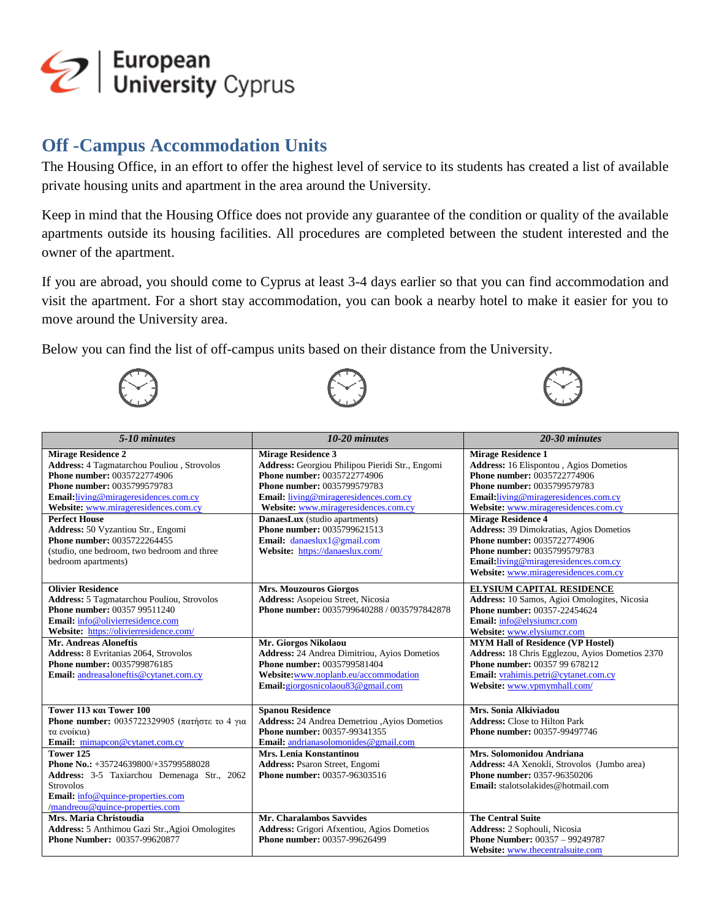

## **Off -Campus Accommodation Units**

The Housing Office, in an effort to offer the highest level of service to its students has created a list of available private housing units and apartment in the area around the University.

Keep in mind that the Housing Office does not provide any guarantee of the condition or quality of the available apartments outside its housing facilities. All procedures are completed between the student interested and the owner of the apartment.

If you are abroad, you should come to Cyprus at least 3-4 days earlier so that you can find accommodation and visit the apartment. For a short stay accommodation, you can book a nearby hotel to make it easier for you to move around the University area.

Below you can find the list of off-campus units based on their distance from the University.







| 5-10 minutes                                                                                                                                                                                                                                                  | 10-20 minutes                                                                                                                                                                                                                                                       | 20-30 minutes                                                                                                                                                                                                                                         |
|---------------------------------------------------------------------------------------------------------------------------------------------------------------------------------------------------------------------------------------------------------------|---------------------------------------------------------------------------------------------------------------------------------------------------------------------------------------------------------------------------------------------------------------------|-------------------------------------------------------------------------------------------------------------------------------------------------------------------------------------------------------------------------------------------------------|
| <b>Mirage Residence 2</b><br><b>Address: 4 Tagmatarchou Pouliou</b> , Strovolos<br>Phone number: 0035722774906<br>Phone number: 0035799579783<br><b>Email:</b> living@mirageresidences.com.cy<br>Website: www.mirageresidences.com.cy<br><b>Perfect House</b> | <b>Mirage Residence 3</b><br>Address: Georgiou Philipou Pieridi Str., Engomi<br>Phone number: 0035722774906<br>Phone number: 0035799579783<br><b>Email:</b> living@mirageresidences.com.cy<br>Website: www.mirageresidences.com.cy<br>DanaesLux (studio apartments) | <b>Mirage Residence 1</b><br><b>Address:</b> 16 Elispontou, Agios Dometios<br>Phone number: 0035722774906<br>Phone number: 0035799579783<br>Email:living@mirageresidences.com.cy<br>Website: www.mirageresidences.com.cv<br><b>Mirage Residence 4</b> |
| Address: 50 Vyzantiou Str., Engomi<br>Phone number: 0035722264455<br>(studio, one bedroom, two bedroom and three<br>bedroom apartments)                                                                                                                       | Phone number: 0035799621513<br>Email: danaeslux1@gmail.com<br>Website: https://danaeslux.com/                                                                                                                                                                       | <b>Address: 39 Dimokratias, Agios Dometios</b><br>Phone number: 0035722774906<br><b>Phone number: 0035799579783</b><br>Email:living@mirageresidences.com.cy<br>Website: www.mirageresidences.com.cy                                                   |
| <b>Olivier Residence</b><br>Address: 5 Tagmatarchou Pouliou, Strovolos<br><b>Phone number: 00357 99511240</b><br>Email: info@olivierresidence.com<br>Website: https://olivierresidence.com/                                                                   | <b>Mrs. Mouzouros Giorgos</b><br>Address: Asopeiou Street, Nicosia<br>Phone number: 0035799640288 / 0035797842878                                                                                                                                                   | <b>ELYSIUM CAPITAL RESIDENCE</b><br>Address: 10 Samos, Agioi Omologites, Nicosia<br>Phone number: 00357-22454624<br>Email: info@elysiumcr.com<br>Website: www.elysiumcr.com                                                                           |
| <b>Mr. Andreas Aloneftis</b><br>Address: 8 Evritanias 2064, Strovolos<br>Phone number: 0035799876185<br>Email: andreasaloneftis@cytanet.com.cy                                                                                                                | Mr. Giorgos Nikolaou<br><b>Address:</b> 24 Andrea Dimitriou, Ayios Dometios<br>Phone number: 0035799581404<br>Website:www.noplanb.eu/accommodation<br>Email:giorgosnicolaou83@gmail.com                                                                             | <b>MYM Hall of Residence (VP Hostel)</b><br>Address: 18 Chris Egglezou, Ayios Dometios 2370<br><b>Phone number: 00357 99 678212</b><br>Email: vrahimis.petri@cytanet.com.cy<br>Website: www.vpmymhall.com/                                            |
| Tower 113 Kat Tower 100<br>Phone number: 0035722329905 (πατήστε το 4 για<br>τα ενοίκια)<br>Email: mimapcon@cytanet.com.cy                                                                                                                                     | <b>Spanou Residence</b><br>Address: 24 Andrea Demetriou , Ayios Dometios<br>Phone number: 00357-99341355<br>Email: andrianasolomonides@gmail.com                                                                                                                    | Mrs. Sonia Alkiviadou<br><b>Address:</b> Close to Hilton Park<br>Phone number: 00357-99497746                                                                                                                                                         |
| Tower 125<br>Phone No.: +35724639800/+35799588028<br>Address: 3-5 Taxiarchou Demenaga Str., 2062<br><b>Strovolos</b><br>Email: info@quince-properties.com<br>/mandreou@quince-properties.com                                                                  | Mrs. Lenia Konstantinou<br><b>Address: Psaron Street, Engomi</b><br><b>Phone number: 00357-96303516</b>                                                                                                                                                             | Mrs. Solomonidou Andriana<br>Address: 4A Xenokli, Strovolos (Jumbo area)<br>Phone number: 0357-96350206<br>Email: stalotsolakides@hotmail.com                                                                                                         |
| Mrs. Maria Christoudia<br>Address: 5 Anthimou Gazi Str., Agioi Omologites<br><b>Phone Number: 00357-99620877</b>                                                                                                                                              | Mr. Charalambos Savvides<br><b>Address:</b> Grigori Afxentiou, Agios Dometios<br>Phone number: 00357-99626499                                                                                                                                                       | <b>The Central Suite</b><br>Address: 2 Sophouli, Nicosia<br><b>Phone Number: 00357 - 99249787</b><br>Website: www.thecentralsuite.com                                                                                                                 |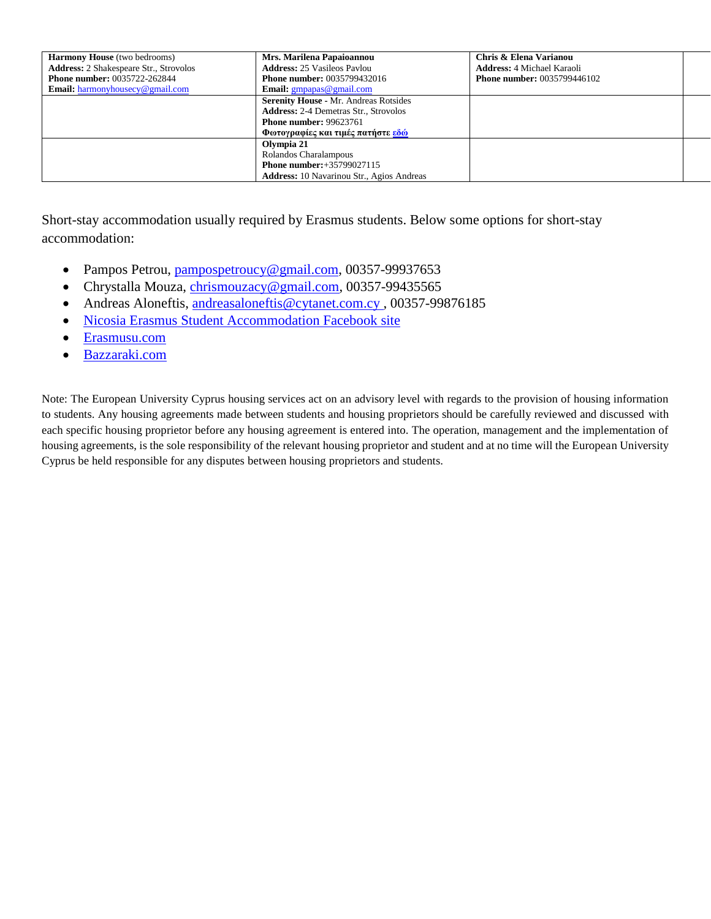| <b>Harmony House</b> (two bedrooms)           | Mrs. Marilena Papaioannou                        | Chris & Elena Varianou             |  |
|-----------------------------------------------|--------------------------------------------------|------------------------------------|--|
| <b>Address:</b> 2 Shakespeare Str., Strovolos | <b>Address: 25 Vasileos Paylou</b>               | <b>Address:</b> 4 Michael Karaoli  |  |
| <b>Phone number: 0035722-262844</b>           | <b>Phone number: 0035799432016</b>               | <b>Phone number: 0035799446102</b> |  |
| <b>Email:</b> harmonyhousecy@gmail.com        | <b>Email:</b> $gmpapas@gmail.com$                |                                    |  |
|                                               | <b>Serenity House - Mr. Andreas Rotsides</b>     |                                    |  |
|                                               | <b>Address:</b> 2-4 Demetras Str., Strovolos     |                                    |  |
|                                               | <b>Phone number: 99623761</b>                    |                                    |  |
|                                               | Φωτογραφίες και τιμές πατήστε εδώ                |                                    |  |
|                                               | Olympia 21                                       |                                    |  |
|                                               | Rolandos Charalampous                            |                                    |  |
|                                               | <b>Phone number:</b> +35799027115                |                                    |  |
|                                               | <b>Address:</b> 10 Navarinou Str., Agios Andreas |                                    |  |

Short-stay accommodation usually required by Erasmus students. Below some options for short-stay accommodation:

- Pampos Petrou, [pampospetroucy@gmail.com,](mailto:pampospetroucy@gmail.com) 00357-99937653
- Chrystalla Mouza, [chrismouzacy@gmail.com,](chrismouzacy@gmail.com) 00357-99435565
- Andreas Aloneftis, andreasaloneftis@cytanet.com.cy, 00357-99876185
- [Nicosia Erasmus Student Accommodation Facebook site](https://www.facebook.com/Nicosia-Erasmus-Student-Accommodation-831369533583619/)
- [Erasmusu.com](https://erasmusu.com/en/erasmus-nicosia/student-housing?ads=all_ads&filter_accommodations=filter_accommodations&source=accsection)
- [Bazzaraki.com](https://www.bazaraki.com/real-estate/houses-and-villas-rent/lefkosia-district-nicosia/)

Note: The European University Cyprus housing services act on an advisory level with regards to the provision of housing information to students. Any housing agreements made between students and housing proprietors should be carefully reviewed and discussed with each specific housing proprietor before any housing agreement is entered into. The operation, management and the implementation of housing agreements, is the sole responsibility of the relevant housing proprietor and student and at no time will the European University Cyprus be held responsible for any disputes between housing proprietors and students.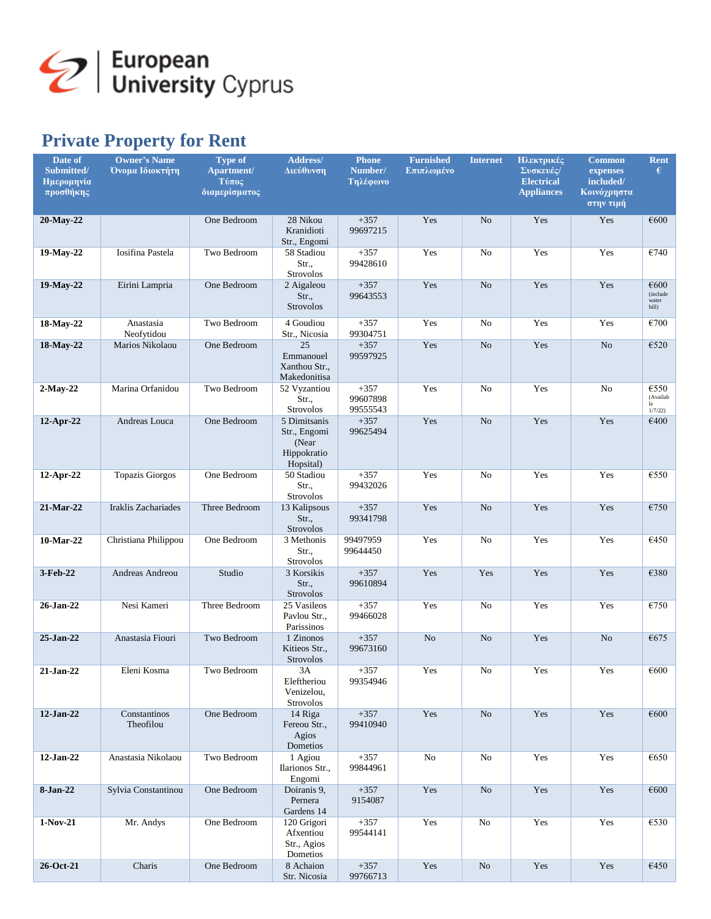

## **Private Property for Rent**

| Date of<br>Submitted/<br>Ημερομηνία<br>προσθήκης | <b>Owner's Name</b><br>Όνομα Ιδιοκτήτη | <b>Type of</b><br>Apartment/<br>Τύπος<br>διαμερίσματος | Address/<br>Διεύθυνση                                             | <b>Phone</b><br>Number/<br>Τηλέφωνο | <b>Furnished</b><br>Επιπλωμένο | <b>Internet</b> | Ηλεκτρικές<br>Συσκευές/<br><b>Electrical</b><br><b>Appliances</b> | <b>Common</b><br>expenses<br>included/<br>Κοινόχρηστα<br>στην τιμή | Rent<br>€                          |
|--------------------------------------------------|----------------------------------------|--------------------------------------------------------|-------------------------------------------------------------------|-------------------------------------|--------------------------------|-----------------|-------------------------------------------------------------------|--------------------------------------------------------------------|------------------------------------|
| 20-May-22                                        |                                        | One Bedroom                                            | 28 Nikou<br>Kranidioti<br>Str., Engomi                            | $+357$<br>99697215                  | Yes                            | N <sub>o</sub>  | Yes                                                               | Yes                                                                | €600                               |
| 19-May-22                                        | Iosifina Pastela                       | Two Bedroom                                            | 58 Stadiou<br>Str.,<br><b>Strovolos</b>                           | $+357$<br>99428610                  | Yes                            | No              | Yes                                                               | Yes                                                                | €740                               |
| 19-May-22                                        | Eirini Lampria                         | One Bedroom                                            | 2 Aigaleou<br>Str.,<br><b>Strovolos</b>                           | $+357$<br>99643553                  | Yes                            | N <sub>o</sub>  | Yes                                                               | Yes                                                                | €600<br>(include<br>water<br>bill) |
| 18-May-22                                        | Anastasia<br>Neofytidou                | Two Bedroom                                            | 4 Goudiou<br>Str., Nicosia                                        | $+357$<br>99304751                  | Yes                            | No              | Yes                                                               | Yes                                                                | €700                               |
| 18-May-22                                        | Marios Nikolaou                        | One Bedroom                                            | 25<br>Emmanouel<br>Xanthou Str.,<br>Makedonitisa                  | $+357$<br>99597925                  | Yes                            | N <sub>o</sub>  | Yes                                                               | N <sub>o</sub>                                                     | €520                               |
| $2$ -May-22                                      | Marina Orfanidou                       | Two Bedroom                                            | 52 Vyzantiou<br>Str.,<br>Strovolos                                | $+357$<br>99607898<br>99555543      | Yes                            | No              | Yes                                                               | No                                                                 | €550<br>(Availab<br>le<br>1/7/22   |
| 12-Apr-22                                        | Andreas Louca                          | One Bedroom                                            | 5 Dimitsanis<br>Str., Engomi<br>(Near<br>Hippokratio<br>Hopsital) | $+357$<br>99625494                  | Yes                            | N <sub>o</sub>  | Yes                                                               | Yes                                                                | €400                               |
| 12-Apr-22                                        | <b>Topazis Giorgos</b>                 | One Bedroom                                            | 50 Stadiou<br>Str.,<br><b>Strovolos</b>                           | $+357$<br>99432026                  | Yes                            | No              | Yes                                                               | Yes                                                                | €550                               |
| 21-Mar-22                                        | Iraklis Zachariades                    | Three Bedroom                                          | 13 Kalipsous<br>Str.<br><b>Strovolos</b>                          | $+357$<br>99341798                  | Yes                            | N <sub>o</sub>  | Yes                                                               | Yes                                                                | €750                               |
| 10-Mar-22                                        | Christiana Philippou                   | One Bedroom                                            | 3 Methonis<br>Str.,<br><b>Strovolos</b>                           | 99497959<br>99644450                | Yes                            | No              | Yes                                                               | Yes                                                                | €450                               |
| 3-Feb-22                                         | Andreas Andreou                        | Studio                                                 | 3 Korsikis<br>Str.,<br>Strovolos                                  | $+357$<br>99610894                  | Yes                            | Yes             | Yes                                                               | Yes                                                                | €380                               |
| 26-Jan-22                                        | Nesi Kameri                            | Three Bedroom                                          | 25 Vasileos<br>Pavlou Str.,<br>Parissinos                         | $+357$<br>99466028                  | Yes                            | No              | Yes                                                               | Yes                                                                | €750                               |
| 25-Jan-22                                        | Anastasia Fiouri                       | Two Bedroom                                            | 1 Zinonos<br>Kitieos Str.,<br><b>Strovolos</b>                    | $+357$<br>99673160                  | N <sub>o</sub>                 | N <sub>o</sub>  | Yes                                                               | N <sub>o</sub>                                                     | €675                               |
| $21-Jan-22$                                      | Eleni Kosma                            | Two Bedroom                                            | 3A<br>Eleftheriou<br>Venizelou,<br>Strovolos                      | $+357$<br>99354946                  | Yes                            | No              | Yes                                                               | Yes                                                                | €600                               |
| 12-Jan-22                                        | Constantinos<br>Theofilou              | One Bedroom                                            | 14 Riga<br>Fereou Str.,<br>Agios<br>Dometios                      | $+357$<br>99410940                  | Yes                            | No              | Yes                                                               | Yes                                                                | €600                               |
| 12-Jan-22                                        | Anastasia Nikolaou                     | Two Bedroom                                            | 1 Agiou<br>Ilarionos Str.,<br>Engomi                              | $+357$<br>99844961                  | No                             | No              | Yes                                                               | Yes                                                                | €650                               |
| 8-Jan-22                                         | Sylvia Constantinou                    | One Bedroom                                            | Doiranis 9,<br>Pernera<br>Gardens 14                              | $+357$<br>9154087                   | Yes                            | No              | Yes                                                               | Yes                                                                | €600                               |
| 1-Nov-21                                         | Mr. Andys                              | One Bedroom                                            | 120 Grigori<br>Afxentiou<br>Str., Agios<br>Dometios               | $+357$<br>99544141                  | Yes                            | No              | Yes                                                               | Yes                                                                | €530                               |
| 26-Oct-21                                        | Charis                                 | One Bedroom                                            | 8 Achaion<br>Str. Nicosia                                         | $+357$<br>99766713                  | Yes                            | $\rm No$        | Yes                                                               | Yes                                                                | €450                               |